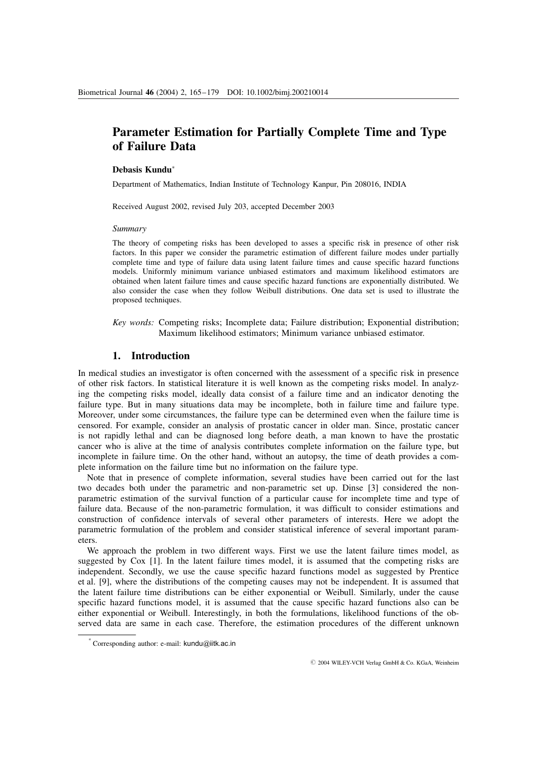# Parameter Estimation for Partially Complete Time and Type of Failure Data

#### Debasis Kundu

Department of Mathematics, Indian Institute of Technology Kanpur, Pin 208016, INDIA

Received August 2002, revised July 203, accepted December 2003

#### Summary

The theory of competing risks has been developed to asses a specific risk in presence of other risk factors. In this paper we consider the parametric estimation of different failure modes under partially complete time and type of failure data using latent failure times and cause specific hazard functions models. Uniformly minimum variance unbiased estimators and maximum likelihood estimators are obtained when latent failure times and cause specific hazard functions are exponentially distributed. We also consider the case when they follow Weibull distributions. One data set is used to illustrate the proposed techniques.

Key words: Competing risks; Incomplete data; Failure distribution; Exponential distribution; Maximum likelihood estimators; Minimum variance unbiased estimator.

# 1. Introduction

In medical studies an investigator is often concerned with the assessment of a specific risk in presence of other risk factors. In statistical literature it is well known as the competing risks model. In analyzing the competing risks model, ideally data consist of a failure time and an indicator denoting the failure type. But in many situations data may be incomplete, both in failure time and failure type. Moreover, under some circumstances, the failure type can be determined even when the failure time is censored. For example, consider an analysis of prostatic cancer in older man. Since, prostatic cancer is not rapidly lethal and can be diagnosed long before death, a man known to have the prostatic cancer who is alive at the time of analysis contributes complete information on the failure type, but incomplete in failure time. On the other hand, without an autopsy, the time of death provides a complete information on the failure time but no information on the failure type.

Note that in presence of complete information, several studies have been carried out for the last two decades both under the parametric and non-parametric set up. Dinse [3] considered the nonparametric estimation of the survival function of a particular cause for incomplete time and type of failure data. Because of the non-parametric formulation, it was difficult to consider estimations and construction of confidence intervals of several other parameters of interests. Here we adopt the parametric formulation of the problem and consider statistical inference of several important parameters.

We approach the problem in two different ways. First we use the latent failure times model, as suggested by Cox [1]. In the latent failure times model, it is assumed that the competing risks are independent. Secondly, we use the cause specific hazard functions model as suggested by Prentice et al. [9], where the distributions of the competing causes may not be independent. It is assumed that the latent failure time distributions can be either exponential or Weibull. Similarly, under the cause specific hazard functions model, it is assumed that the cause specific hazard functions also can be either exponential or Weibull. Interestingly, in both the formulations, likelihood functions of the observed data are same in each case. Therefore, the estimation procedures of the different unknown

<sup>\*</sup> Corresponding author: e-mail: kundu@iitk.ac.in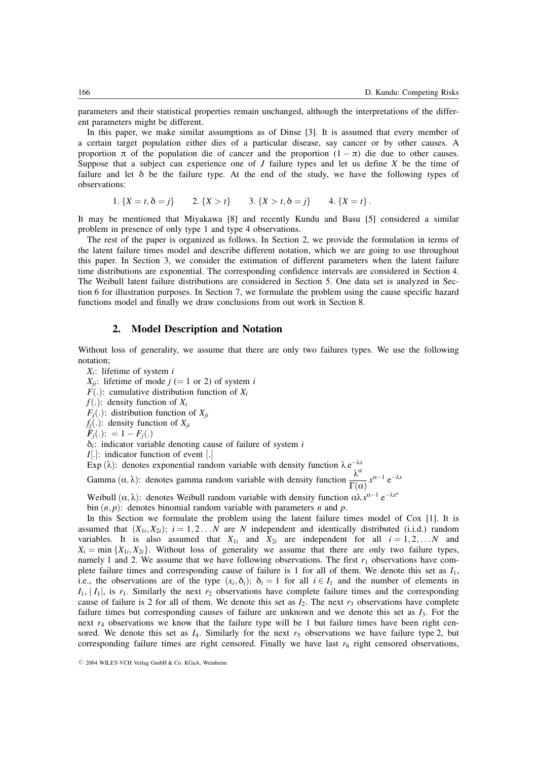parameters and their statistical properties remain unchanged, although the interpretations of the different parameters might be different.

In this paper, we make similar assumptions as of Dinse [3]. It is assumed that every member of a certain target population either dies of a particular disease, say cancer or by other causes. A proportion  $\pi$  of the population die of cancer and the proportion  $(1 - \pi)$  die due to other causes. Suppose that a subject can experience one of  $J$  failure types and let us define  $X$  be the time of failure and let  $\delta$  be the failure type. At the end of the study, we have the following types of observations:

1.  $\{X = t, \delta = j\}$  2.  $\{X > t\}$  3.  $\{X > t, \delta = j\}$  4.  $\{X = t\}$ .

It may be mentioned that Miyakawa [8] and recently Kundu and Basu [5] considered a similar problem in presence of only type 1 and type 4 observations.

The rest of the paper is organized as follows. In Section 2, we provide the formulation in terms of the latent failure times model and describe different notation, which we are going to use throughout this paper. In Section 3, we consider the estimation of different parameters when the latent failure time distributions are exponential. The corresponding confidence intervals are considered in Section 4. The Weibull latent failure distributions are considered in Section 5. One data set is analyzed in Section 6 for illustration purposes. In Section 7, we formulate the problem using the cause specific hazard functions model and finally we draw conclusions from out work in Section 8.

#### 2. Model Description and Notation

Without loss of generality, we assume that there are only two failures types. We use the following notation;

 $X_i$ : lifetime of system  $i$ 

 $X_{ii}$ : lifetime of mode  $j (= 1 \text{ or } 2)$  of system i

 $F(.)$ : cumulative distribution function of  $X_i$ 

 $f(.)$ : density function of  $X_i$ 

 $F_i(.)$ : distribution function of  $X_{ii}$ 

 $f_j(.)$ : density function of  $X_{ji}$ 

$$
\widehat{F}_j(.)\colon=1-F_j(.)
$$

 $\delta_i$ : indicator variable denoting cause of failure of system i

 $I[.]$ : indicator function of event  $[.]$ 

Exp ( $\lambda$ ): denotes exponential random variable with density function  $\lambda e^{-\lambda x}$ 

Gamma  $(\alpha, \lambda)$ : denotes gamma random variable with density function  $\frac{\lambda^{\alpha}}{\Gamma(\alpha)} x^{\alpha-1} e^{-\lambda x}$ 

Weibull  $(\alpha, \lambda)$ : denotes Weibull random variable with density function  $\alpha \lambda x^{\alpha-1} e^{-\lambda x^{\alpha}}$ 

bin  $(n, p)$ : denotes binomial random variable with parameters n and p.

In this Section we formulate the problem using the latent failure times model of Cox [1]. It is assumed that  $(X_{1i}, X_{2i})$ ;  $i = 1, 2...N$  are N independent and identically distributed (i.i.d.) random variables. It is also assumed that  $X_{1i}$  and  $X_{2i}$  are independent for all  $i = 1, 2, \ldots N$  and  $X_i = \min \{X_{1i}, X_{2i}\}\$ . Without loss of generality we assume that there are only two failure types, namely 1 and 2. We assume that we have following observations. The first  $r_1$  observations have complete failure times and corresponding cause of failure is 1 for all of them. We denote this set as  $I_1$ , i.e., the observations are of the type  $(x_i, \delta_i)$ ;  $\delta_i = 1$  for all  $i \in I_1$  and the number of elements in  $I_1$ ,  $I_1$ , is  $r_1$ . Similarly the next  $r_2$  observations have complete failure times and the corresponding cause of failure is 2 for all of them. We denote this set as  $I_2$ . The next  $r_3$  observations have complete failure times but corresponding causes of failure are unknown and we denote this set as  $I_3$ . For the next  $r_4$  observations we know that the failure type will be 1 but failure times have been right censored. We denote this set as  $I_4$ . Similarly for the next  $r_5$  observations we have failure type 2, but corresponding failure times are right censored. Finally we have last  $r<sub>6</sub>$  right censored observations,

 $O$  2004 WILEY-VCH Verlag GmbH & Co. KGaA, Weinheim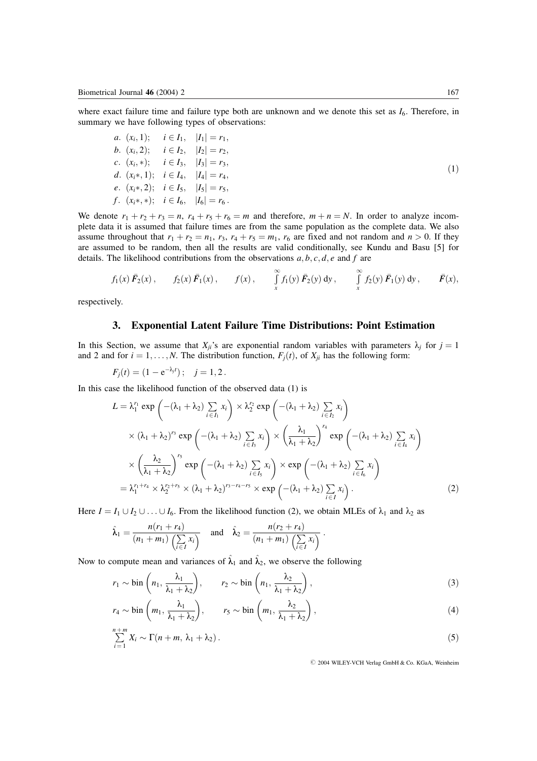where exact failure time and failure type both are unknown and we denote this set as  $I_6$ . Therefore, in summary we have following types of observations:

a.  $(x_i, 1);$   $i \in I_1,$   $|I_1| = r_1,$ b.  $(x_i, 2);$   $i \in I_2,$   $|I_2| = r_2,$ c.  $(x_i, *)$ ;  $i \in I_3$ ,  $|I_3| = r_3$ , d.  $(x_i*, 1); \quad i \in I_4, \quad |I_4| = r_4,$ e.  $(x_i*, 2); \quad i \in I_5, \quad |I_5| = r_5,$ f.  $(x_i*, *)$ ;  $i \in I_6$ ,  $|I_6| = r_6$ .

We denote  $r_1 + r_2 + r_3 = n$ ,  $r_4 + r_5 + r_6 = m$  and therefore,  $m + n = N$ . In order to analyze incomplete data it is assumed that failure times are from the same population as the complete data. We also assume throughout that  $r_1 + r_2 = n_1$ ,  $r_3$ ,  $r_4 + r_5 = m_1$ ,  $r_6$  are fixed and not random and  $n > 0$ . If they are assumed to be random, then all the results are valid conditionally, see Kundu and Basu [5] for details. The likelihood contributions from the observations  $a, b, c, d, e$  and f are

$$
f_1(x) \overline{F}_2(x)
$$
,  $f_2(x) \overline{F}_1(x)$ ,  $f(x)$ ,  $\int_x^{\infty} f_1(y) \overline{F}_2(y) dy$ ,  $\int_x^{\infty} f_2(y) \overline{F}_1(y) dy$ ,  $\overline{F}(x)$ ,

respectively.

# 3. Exponential Latent Failure Time Distributions: Point Estimation

In this Section, we assume that  $X_{ji}$ 's are exponential random variables with parameters  $\lambda_j$  for  $j = 1$ and 2 and for  $i = 1, \ldots, N$ . The distribution function,  $F_i(t)$ , of  $X_{ii}$  has the following form:

$$
F_j(t) = (1 - e^{-\lambda_j t}); \quad j = 1, 2.
$$

In this case the likelihood function of the observed data (1) is

$$
L = \lambda_1^{r_1} \exp\left(-(\lambda_1 + \lambda_2) \sum_{i \in I_1} x_i\right) \times \lambda_2^{r_2} \exp\left(-(\lambda_1 + \lambda_2) \sum_{i \in I_2} x_i\right)
$$
  
 
$$
\times (\lambda_1 + \lambda_2)^{r_3} \exp\left(-(\lambda_1 + \lambda_2) \sum_{i \in I_3} x_i\right) \times \left(\frac{\lambda_1}{\lambda_1 + \lambda_2}\right)^{r_4} \exp\left(-(\lambda_1 + \lambda_2) \sum_{i \in I_4} x_i\right)
$$
  
 
$$
\times \left(\frac{\lambda_2}{\lambda_1 + \lambda_2}\right)^{r_5} \exp\left(-(\lambda_1 + \lambda_2) \sum_{i \in I_5} x_i\right) \times \exp\left(-(\lambda_1 + \lambda_2) \sum_{i \in I_6} x_i\right)
$$
  
\n
$$
= \lambda_1^{r_1 + r_4} \times \lambda_2^{r_2 + r_5} \times (\lambda_1 + \lambda_2)^{r_3 - r_4 - r_5} \times \exp\left(-(\lambda_1 + \lambda_2) \sum_{i \in I} x_i\right).
$$
 (2)

Here  $I = I_1 \cup I_2 \cup ... \cup I_6$ . From the likelihood function (2), we obtain MLEs of  $\lambda_1$  and  $\lambda_2$  as

$$
\hat{\lambda}_1 = \frac{n(r_1 + r_4)}{(n_1 + m_1) \left(\sum\limits_{i \in I} x_i\right)} \quad \text{and} \quad \hat{\lambda}_2 = \frac{n(r_2 + r_4)}{(n_1 + m_1) \left(\sum\limits_{i \in I} x_i\right)}.
$$

Now to compute mean and variances of  $\hat{\lambda}_1$  and  $\hat{\lambda}_2$ , we observe the following

$$
r_1 \sim \text{bin}\left(n_1, \frac{\lambda_1}{\lambda_1 + \lambda_2}\right), \qquad r_2 \sim \text{bin}\left(n_1, \frac{\lambda_2}{\lambda_1 + \lambda_2}\right),\tag{3}
$$

$$
r_4 \sim \text{bin}\left(m_1, \frac{\lambda_1}{\lambda_1 + \lambda_2}\right), \qquad r_5 \sim \text{bin}\left(m_1, \frac{\lambda_2}{\lambda_1 + \lambda_2}\right),\tag{4}
$$

$$
\sum_{i=1}^{n+m} X_i \sim \Gamma(n+m, \lambda_1+\lambda_2).
$$
 (5)

 $\odot$  2004 WILEY-VCH Verlag GmbH & Co. KGaA, Weinheim

 $(1)$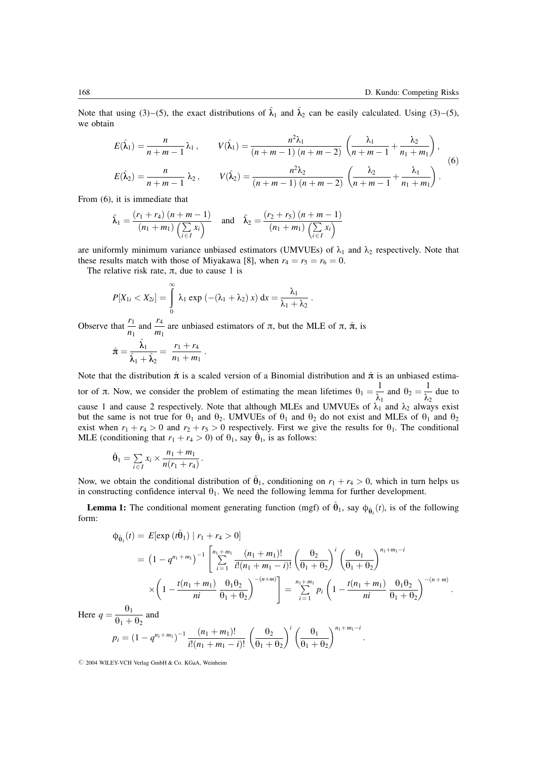:

Note that using (3)–(5), the exact distributions of  $\hat{\lambda}_1$  and  $\hat{\lambda}_2$  can be easily calculated. Using (3)–(5), we obtain

$$
E(\hat{\lambda}_1) = \frac{n}{n+m-1} \lambda_1, \qquad V(\hat{\lambda}_1) = \frac{n^2 \lambda_1}{(n+m-1)(n+m-2)} \left( \frac{\lambda_1}{n+m-1} + \frac{\lambda_2}{n_1+m_1} \right),
$$
  
\n
$$
E(\hat{\lambda}_2) = \frac{n}{n+m-1} \lambda_2, \qquad V(\hat{\lambda}_2) = \frac{n^2 \lambda_2}{(n+m-1)(n+m-2)} \left( \frac{\lambda_2}{n+m-1} + \frac{\lambda_1}{n_1+m_1} \right).
$$
 (6)

From (6), it is immediate that

$$
\tilde{\lambda}_1 = \frac{(r_1 + r_4) (n + m - 1)}{(n_1 + m_1) (\sum\limits_{i \in I} x_i)} \quad \text{and} \quad \tilde{\lambda}_2 = \frac{(r_2 + r_5) (n + m - 1)}{(n_1 + m_1) (\sum\limits_{i \in I} x_i)}
$$

are uniformly minimum variance unbiased estimators (UMVUEs) of  $\lambda_1$  and  $\lambda_2$  respectively. Note that these results match with those of Miyakawa [8], when  $r_4 = r_5 = r_6 = 0$ .

The relative risk rate,  $\pi$ , due to cause 1 is

$$
P[X_{1i} < X_{2i}] = \int_{0}^{\infty} \lambda_1 \exp(-(\lambda_1 + \lambda_2) x) dx = \frac{\lambda_1}{\lambda_1 + \lambda_2}.
$$

Observe that  $\frac{r_1}{n_1}$  and  $\frac{r_4}{m_1}$  are unbiased estimators of  $\pi$ , but the MLE of  $\pi$ ,  $\hat{\pi}$ , is

$$
\hat{\boldsymbol{\pi}} = \frac{\hat{\lambda}_1}{\hat{\lambda}_1 + \hat{\lambda}_2} = \frac{r_1 + r_4}{n_1 + m_1} \ .
$$

Note that the distribution  $\hat{\pi}$  is a scaled version of a Binomial distribution and  $\hat{\pi}$  is an unbiased estimator of  $\pi$ . Now, we consider the problem of estimating the mean lifetimes  $\theta_1 = \frac{1}{\lambda_1}$  and  $\theta_2 = \frac{1}{\lambda_2}$  due to cause 1 and cause 2 respectively. Note that although MLEs and UMVUEs of  $\lambda_1$  and  $\lambda_2$  always exist but the same is not true for  $\theta_1$  and  $\theta_2$ . UMVUEs of  $\theta_1$  and  $\theta_2$  do not exist and MLEs of  $\theta_1$  and  $\theta_2$ exist when  $r_1 + r_4 > 0$  and  $r_2 + r_5 > 0$  respectively. First we give the results for  $\theta_1$ . The conditional MLE (conditioning that  $r_1 + r_4 > 0$ ) of  $\theta_1$ , say  $\hat{\theta}_1$ , is as follows:

$$
\hat{\theta}_1 = \sum_{i \in I} x_i \times \frac{n_1 + m_1}{n(r_1 + r_4)}.
$$

Now, we obtain the conditional distribution of  $\hat{\theta}_1$ , conditioning on  $r_1 + r_4 > 0$ , which in turn helps us in constructing confidence interval  $\theta_1$ . We need the following lemma for further development.

**Lemma 1:** The conditional moment generating function (mgf) of  $\hat{\theta}_1$ , say  $\phi_{\hat{\theta}_1}(t)$ , is of the following form:

$$
\phi_{\hat{\theta}_1}(t) = E[\exp(t\hat{\theta}_1) | r_1 + r_4 > 0]
$$
\n
$$
= (1 - q^{n_1 + m_1})^{-1} \left[ \sum_{i=1}^{n_1 + m_1} \frac{(n_1 + m_1)!}{i!(n_1 + m_1 - i)!} \left( \frac{\theta_2}{\theta_1 + \theta_2} \right)^i \left( \frac{\theta_1}{\theta_1 + \theta_2} \right)^{n_1 + m_1 - i} \right]
$$
\n
$$
\times \left( 1 - \frac{t(n_1 + m_1)}{ni} \frac{\theta_1 \theta_2}{\theta_1 + \theta_2} \right)^{-(n+m)} \right] = \sum_{i=1}^{n_1 + m_1} p_i \left( 1 - \frac{t(n_1 + m_1)}{ni} \frac{\theta_1 \theta_2}{\theta_1 + \theta_2} \right)^{-(n+m)}
$$
\n
$$
= \frac{\theta_1}{\theta_1 + \theta_2} \text{ and}
$$

Here  $q$ 

$$
p_i = (1 - q^{n_1 + m_1})^{-1} \frac{(n_1 + m_1)!}{i!(n_1 + m_1 - i)!} \left(\frac{\theta_2}{\theta_1 + \theta_2}\right)^i \left(\frac{\theta_1}{\theta_1 + \theta_2}\right)^{n_1 + m_1 - i}.
$$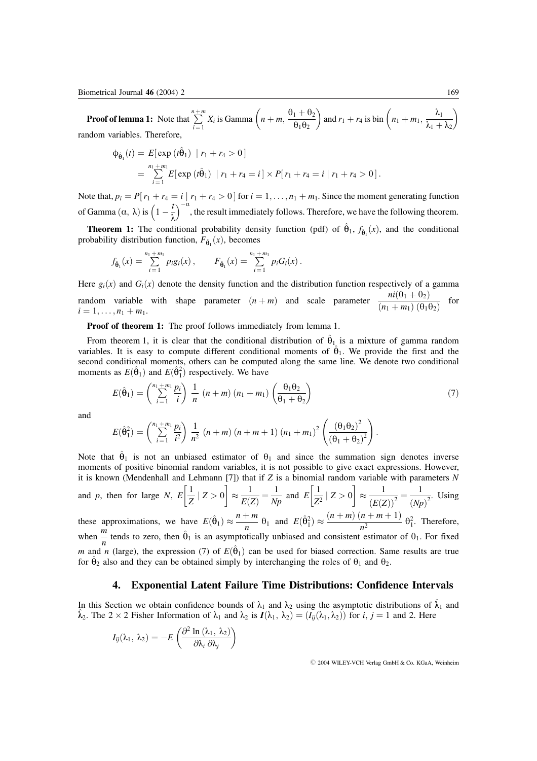**Proof of lemma 1:** Note that  $\sum^{n+m}$  $\sum_{i=1}^{n+m} X_i$  is Gamma  $\left(n+m, \frac{\theta_1+\theta_2}{\theta_1\theta_2}\right)$  $\theta_1\theta_2$  $\left(n+m, \frac{\theta_1+\theta_2}{\theta_1\theta_2}\right)$  and  $r_1+r_4$  is bin  $\left(n_1+m_1, \frac{\lambda_1}{\lambda_1+\lambda_2}\right)$  $\sqrt{2}$ random variables. Therefore,

$$
\begin{aligned} \phi_{\hat{\theta}_1}(t) &= E[\exp\left(t\hat{\theta}_1\right) \mid r_1 + r_4 > 0] \\ &= \sum_{i=1}^{n_1 + m_1} E[\exp\left(t\hat{\theta}_1\right) \mid r_1 + r_4 = i] \times P[r_1 + r_4 = i \mid r_1 + r_4 > 0] \, . \end{aligned}
$$

Note that,  $p_i = P[r_1 + r_4 = i | r_1 + r_4 > 0]$  for  $i = 1, ..., n_1 + m_1$ . Since the moment generating function of Gamma  $(\alpha, \lambda)$  is  $\left(1 - \frac{t}{\lambda}\right)$  $\lambda$  $\left(1-\frac{t}{2}\right)^{-\alpha}$ , the result immediately follows. Therefore, we have the following theorem.

**Theorem 1:** The conditional probability density function (pdf) of  $\hat{\theta}_1$ ,  $f_{\hat{\theta}_1}(x)$ , and the conditional probability distribution function,  $F_{\hat{\theta}_1}(x)$ , becomes

$$
f_{\hat{\theta}_1}(x) = \sum_{i=1}^{n_1 + m_1} p_i g_i(x)
$$
,  $F_{\hat{\theta}_1}(x) = \sum_{i=1}^{n_1 + m_1} p_i G_i(x)$ .

Here  $g_i(x)$  and  $G_i(x)$  denote the density function and the distribution function respectively of a gamma random variable with shape parameter  $(n+m)$  and scale parameter  $\frac{ni(\theta_1 + \theta_2)}{(n_1+m_1)(\theta_1\theta_2)}$  for  $i = 1, \ldots, n_1 + m_1.$ 

Proof of theorem 1: The proof follows immediately from lemma 1.

From theorem 1, it is clear that the conditional distribution of  $\hat{\theta}_1$  is a mixture of gamma random variables. It is easy to compute different conditional moments of  $\hat{\theta}_1$ . We provide the first and the second conditional moments, others can be computed along the same line. We denote two conditional moments as  $E(\hat{\theta}_1)$  and  $E(\hat{\theta}_1^2)$  respectively. We have

$$
E(\hat{\theta}_1) = \left(\sum_{i=1}^{n_1+m_1} \frac{p_i}{i}\right) \frac{1}{n} (n+m) (n_1+m_1) \left(\frac{\theta_1 \theta_2}{\theta_1 + \theta_2}\right)
$$
(7)

and

$$
E(\hat{\theta}_1^2) = \left(\sum_{i=1}^{n_1+m_1} \frac{p_i}{i^2}\right) \frac{1}{n^2} (n+m) (n+m+1) (n_1+m_1)^2 \left(\frac{(\theta_1\theta_2)^2}{(\theta_1+\theta_2)^2}\right).
$$

Note that  $\hat{\theta}_1$  is not an unbiased estimator of  $\theta_1$  and since the summation sign denotes inverse moments of positive binomial random variables, it is not possible to give exact expressions. However, it is known (Mendenhall and Lehmann [7]) that if Z is a binomial random variable with parameters N and p, then for large N,  $E\left[\frac{1}{Z} \mid Z > 0\right]$  $\left[\frac{1}{Z} | Z > 0\right] \approx \frac{1}{E(Z)} = \frac{1}{Np}$  and  $E\left[\frac{1}{Z^2} | Z > 0\right]$  $\left[\frac{1}{Z^2} | Z > 0\right] \approx \frac{1}{\left(E(Z)\right)^2} = \frac{1}{\left(Np\right)^2}$ . Using these approximations, we have  $E(\hat{\theta}_1) \approx \frac{n+m}{n} \theta_1$  and  $E(\hat{\theta}_1^2) \approx \frac{(n+m)(n+m+1)}{n^2} \theta_1^2$ . Therefore, when  $\frac{m}{n}$  tends to zero, then  $\hat{\theta}_1$  is an asymptotically unbiased and consistent estimator of  $\theta_1$ . For fixed m and n (large), the expression (7) of  $E(\hat{\theta}_1)$  can be used for biased correction. Same results are true for  $\hat{\theta}_2$  also and they can be obtained simply by interchanging the roles of  $\theta_1$  and  $\theta_2$ .

## 4. Exponential Latent Failure Time Distributions: Confidence Intervals

In this Section we obtain confidence bounds of  $\lambda_1$  and  $\lambda_2$  using the asymptotic distributions of  $\lambda_1$  and  $\lambda_2$ . The 2 × 2 Fisher Information of  $\lambda_1$  and  $\lambda_2$  is  $I(\lambda_1, \lambda_2) = (I_{ij}(\lambda_1, \lambda_2))$  for  $i, j = 1$  and

$$
I_{ij}(\lambda_1, \lambda_2) = -E \left( \frac{\partial^2 \ln{(\lambda_1, \lambda_2)}}{\partial \lambda_i \partial \lambda_j} \right)
$$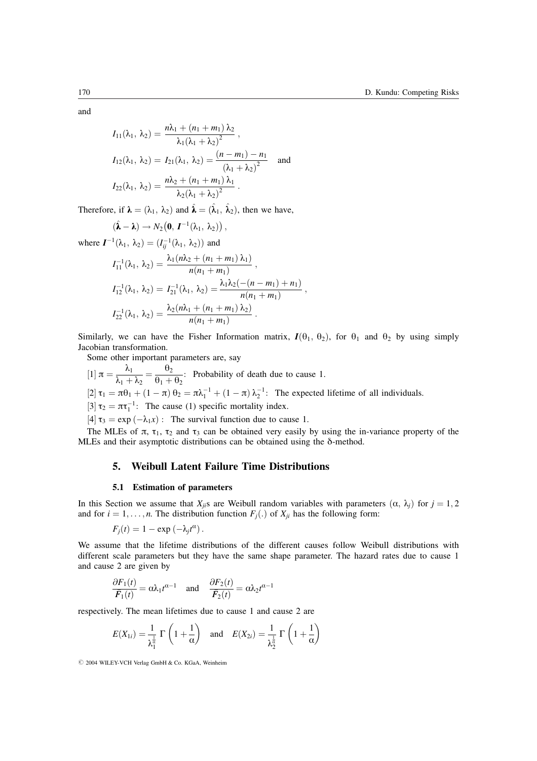and

$$
I_{11}(\lambda_1, \lambda_2) = \frac{n\lambda_1 + (n_1 + m_1) \lambda_2}{\lambda_1 (\lambda_1 + \lambda_2)^2},
$$
  
\n
$$
I_{12}(\lambda_1, \lambda_2) = I_{21}(\lambda_1, \lambda_2) = \frac{(n - m_1) - n_1}{(\lambda_1 + \lambda_2)^2} \text{ and}
$$
  
\n
$$
I_{22}(\lambda_1, \lambda_2) = \frac{n\lambda_2 + (n_1 + m_1) \lambda_1}{\lambda_2 (\lambda_1 + \lambda_2)^2}.
$$

Therefore, if  $\lambda = (\lambda_1, \lambda_2)$  and  $\hat{\lambda} = (\hat{\lambda}_1, \hat{\lambda}_2)$ , then we have,

$$
(\hat{\lambda} - \lambda) \to N_2\big(0, \, \textbf{\textit{I}}^{-1}(\lambda_1, \, \lambda_2)\big) \, ,
$$

where  $\boldsymbol{I}^{-1}(\lambda_1, \lambda_2) = (I_{ij}^{-1}(\lambda_1, \lambda_2))$  and

$$
I_{11}^{-1}(\lambda_1, \lambda_2) = \frac{\lambda_1(n\lambda_2 + (n_1 + m_1) \lambda_1)}{n(n_1 + m_1)},
$$
  
\n
$$
I_{12}^{-1}(\lambda_1, \lambda_2) = I_{21}^{-1}(\lambda_1, \lambda_2) = \frac{\lambda_1 \lambda_2 (- (n - m_1) + n_1)}{n(n_1 + m_1)},
$$
  
\n
$$
I_{22}^{-1}(\lambda_1, \lambda_2) = \frac{\lambda_2 (n\lambda_1 + (n_1 + m_1) \lambda_2)}{n(n_1 + m_1)}.
$$

Similarly, we can have the Fisher Information matrix,  $I(\theta_1, \theta_2)$ , for  $\theta_1$  and  $\theta_2$  by using simply Jacobian transformation.

Some other important parameters are, say

[1]  $\pi = \frac{\lambda_1}{\lambda_1 + \lambda_2} = \frac{\theta_2}{\theta_1 + \theta_2}$ : Probability of death due to cause 1.  $[2] \tau_1 = \pi \theta_1 + (1 - \pi) \theta_2 = \pi \lambda_1^{-1} + (1 - \pi) \lambda_2^{-1}$ : The expected lifetime of all individuals. [3]  $\tau_2 = \pi \tau_1^{-1}$ : The cause (1) specific mortality index. [4]  $\tau_3 = \exp(-\lambda_1 x)$ : The survival function due to cause 1.

The MLEs of  $\pi$ ,  $\tau_1$ ,  $\tau_2$  and  $\tau_3$  can be obtained very easily by using the in-variance property of the MLEs and their asymptotic distributions can be obtained using the  $\delta$ -method.

## 5. Weibull Latent Failure Time Distributions

#### 5.1 Estimation of parameters

In this Section we assume that  $X_{ij}$ s are Weibull random variables with parameters  $(\alpha, \lambda_i)$  for  $j = 1, 2$ and for  $i = 1, \ldots, n$ . The distribution function  $F_j(.)$  of  $X_{ji}$  has the following form:

$$
F_j(t) = 1 - \exp(-\lambda_j t^{\alpha}).
$$

We assume that the lifetime distributions of the different causes follow Weibull distributions with different scale parameters but they have the same shape parameter. The hazard rates due to cause 1 and cause 2 are given by

$$
\frac{\partial F_1(t)}{\overline{F}_1(t)} = \alpha \lambda_1 t^{\alpha - 1} \quad \text{and} \quad \frac{\partial F_2(t)}{\overline{F}_2(t)} = \alpha \lambda_2 t^{\alpha - 1}
$$

respectively. The mean lifetimes due to cause 1 and cause 2 are

$$
E(X_{1i}) = \frac{1}{\lambda_1^{\frac{1}{\alpha}}} \Gamma\left(1 + \frac{1}{\alpha}\right) \quad \text{and} \quad E(X_{2i}) = \frac{1}{\lambda_2^{\frac{1}{\alpha}}} \Gamma\left(1 + \frac{1}{\alpha}\right)
$$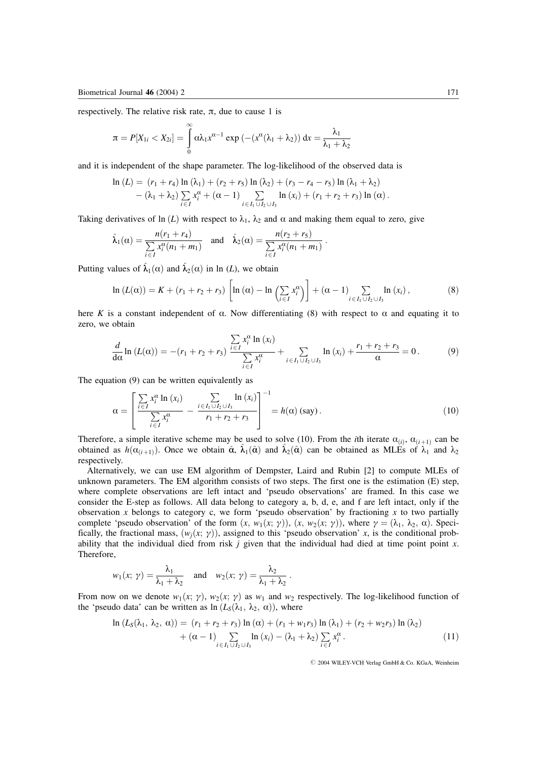respectively. The relative risk rate,  $\pi$ , due to cause 1 is

$$
\pi = P[X_{1i} < X_{2i}] = \int\limits_0^\infty \alpha \lambda_1 x^{\alpha - 1} \exp\left(-\left(x^\alpha (\lambda_1 + \lambda_2)\right) \right) dx = \frac{\lambda_1}{\lambda_1 + \lambda_2}
$$

and it is independent of the shape parameter. The log-likelihood of the observed data is

$$
\ln(L) = (r_1 + r_4) \ln(\lambda_1) + (r_2 + r_5) \ln(\lambda_2) + (r_3 - r_4 - r_5) \ln(\lambda_1 + \lambda_2) - (\lambda_1 + \lambda_2) \sum_{i \in I} x_i^{\alpha} + (\alpha - 1) \sum_{i \in I_1 \cup I_2 \cup I_3} \ln(x_i) + (r_1 + r_2 + r_3) \ln(\alpha).
$$

Taking derivatives of ln  $(L)$  with respect to  $\lambda_1$ ,  $\lambda_2$  and  $\alpha$  and making them equal to zero, give

$$
\hat{\lambda}_1(\alpha) = \frac{n(r_1 + r_4)}{\sum\limits_{i \in I} x_i^{\alpha}(n_1 + m_1)} \quad \text{and} \quad \hat{\lambda}_2(\alpha) = \frac{n(r_2 + r_5)}{\sum\limits_{i \in I} x_i^{\alpha}(n_1 + m_1)}.
$$

Putting values of  $\hat{\lambda}_1(\alpha)$  and  $\hat{\lambda}_2(\alpha)$  in ln (L), we obtain

$$
\ln(L(\alpha)) = K + (r_1 + r_2 + r_3) \left[ \ln(\alpha) - \ln\left(\sum_{i \in I} x_i^{\alpha}\right) \right] + (\alpha - 1) \sum_{i \in I_1 \cup I_2 \cup I_3} \ln(x_i), \tag{8}
$$

here K is a constant independent of  $\alpha$ . Now differentiating (8) with respect to  $\alpha$  and equating it to zero, we obtain

$$
\frac{d}{d\alpha}\ln(L(\alpha)) = -(r_1 + r_2 + r_3) \frac{\sum\limits_{i \in I} x_i^{\alpha} \ln(x_i)}{\sum\limits_{i \in I} x_i^{\alpha}} + \sum\limits_{i \in I_1 \cup I_2 \cup I_3} \ln(x_i) + \frac{r_1 + r_2 + r_3}{\alpha} = 0.
$$
 (9)

The equation (9) can be written equivalently as

$$
\alpha = \left[\frac{\sum\limits_{i \in I} x_i^{\alpha} \ln(x_i)}{\sum\limits_{i \in I} x_i^{\alpha}} - \frac{\sum\limits_{i \in I_1 \cup I_2 \cup I_3} \ln(x_i)}{r_1 + r_2 + r_3}\right]^{-1} = h(\alpha) \text{ (say)}.
$$
\n(10)

Therefore, a simple iterative scheme may be used to solve (10). From the *i*th iterate  $\alpha_{(i)}$ ,  $\alpha_{(i+1)}$  can be obtained as  $h(\alpha_{(i+1)})$ . Once we obtain  $\hat{\alpha}$ ,  $\hat{\lambda}_1(\hat{\alpha})$  and  $\hat{\lambda}_2(\hat{\alpha})$  can be obtained as MLEs of  $\lambda_1$  and  $\lambda_2$ respectively.

Alternatively, we can use EM algorithm of Dempster, Laird and Rubin [2] to compute MLEs of unknown parameters. The EM algorithm consists of two steps. The first one is the estimation (E) step, where complete observations are left intact and 'pseudo observations' are framed. In this case we consider the E-step as follows. All data belong to category a, b, d, e, and f are left intact, only if the observation  $x$  belongs to category c, we form 'pseudo observation' by fractioning  $x$  to two partially complete 'pseudo observation' of the form  $(x, w_1(x; \gamma))$ ,  $(x, w_2(x; \gamma))$ , where  $\gamma = (\lambda_1, \lambda_2, \alpha)$ . Specifically, the fractional mass,  $(w_i(x; y))$ , assigned to this 'pseudo observation' x, is the conditional probability that the individual died from risk  $j$  given that the individual had died at time point point  $x$ . Therefore,

$$
w_1(x; \gamma) = \frac{\lambda_1}{\lambda_1 + \lambda_2}
$$
 and  $w_2(x; \gamma) = \frac{\lambda_2}{\lambda_1 + \lambda_2}$ .

From now on we denote  $w_1(x; \gamma)$ ,  $w_2(x; \gamma)$  as  $w_1$  and  $w_2$  respectively. The log-likelihood function of the 'pseudo data' can be written as  $\ln (L_S(\lambda_1, \lambda_2, \alpha))$ , where

$$
\ln (L_S(\lambda_1, \lambda_2, \alpha)) = (r_1 + r_2 + r_3) \ln (\alpha) + (r_1 + w_1 r_3) \ln (\lambda_1) + (r_2 + w_2 r_3) \ln (\lambda_2) + (\alpha - 1) \sum_{i \in I_1 \cup I_2 \cup I_3} \ln (x_i) - (\lambda_1 + \lambda_2) \sum_{i \in I} x_i^{\alpha}.
$$
 (11)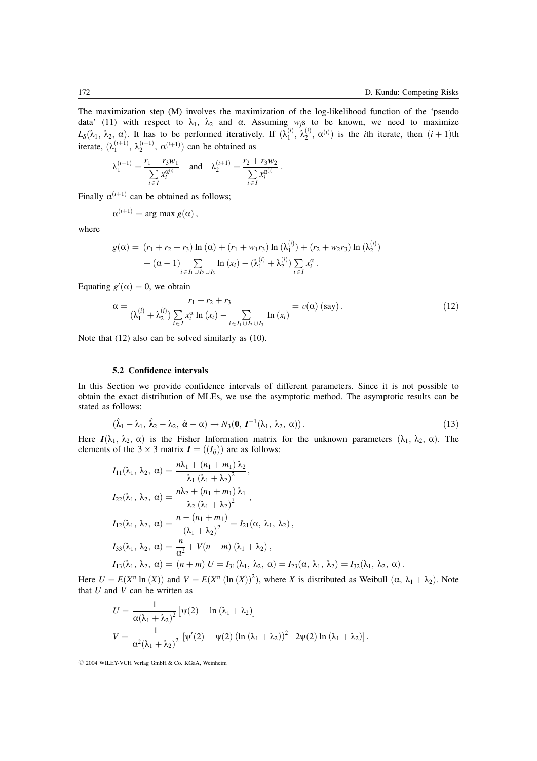The maximization step (M) involves the maximization of the log-likelihood function of the 'pseudo data' (11) with respect to  $\lambda_1$ ,  $\lambda_2$  and  $\alpha$ . Assuming  $w_j$ s to be known, we need to maximize  $L_S(\lambda_1, \lambda_2, \alpha)$ . It has to be performed iteratively. If  $(\lambda_1^{(i)}, \lambda_2^{(i)}, \alpha^{(i)})$  is the *i*th iterate, then  $(i + 1)$ th iterate,  $(\lambda_1^{(i+1)}, \lambda_2^{(i+1)}, \alpha^{(i+1)})$  can be obtained as

$$
\lambda_1^{(i+1)} = \frac{r_1 + r_3 w_1}{\sum_{i \in I} x_i^{\alpha^{(i)}}} \quad \text{and} \quad \lambda_2^{(i+1)} = \frac{r_2 + r_3 w_2}{\sum_{i \in I} x_i^{\alpha^{(i)}}} \, .
$$

Finally  $\alpha^{(i+1)}$  can be obtained as follows;

$$
\alpha^{(i+1)} = \arg \max g(\alpha) ,
$$

where

$$
g(\alpha) = (r_1 + r_2 + r_3) \ln (\alpha) + (r_1 + w_1 r_3) \ln (\lambda_1^{(i)}) + (r_2 + w_2 r_3) \ln (\lambda_2^{(i)})
$$
  
+  $(\alpha - 1) \sum_{i \in I_1 \cup I_2 \cup I_3} \ln (x_i) - (\lambda_1^{(i)} + \lambda_2^{(i)}) \sum_{i \in I} x_i^{\alpha}$ .

Equating  $g'(\alpha) = 0$ , we obtain

$$
\alpha = \frac{r_1 + r_2 + r_3}{(\lambda_1^{(i)} + \lambda_2^{(i)}) \sum_{i \in I} x_i^{\alpha} \ln (x_i) - \sum_{i \in I_1 \cup I_2 \cup I_3} \ln (x_i)} = v(\alpha) \text{ (say)}.
$$
 (12)

Note that (12) also can be solved similarly as (10).

# 5.2 Confidence intervals

In this Section we provide confidence intervals of different parameters. Since it is not possible to obtain the exact distribution of MLEs, we use the asymptotic method. The asymptotic results can be stated as follows:

$$
(\hat{\lambda}_1 - \lambda_1, \hat{\lambda}_2 - \lambda_2, \hat{\alpha} - \alpha) \rightarrow N_3(\mathbf{0}, \mathbf{I}^{-1}(\lambda_1, \lambda_2, \alpha)). \tag{13}
$$

Here  $I(\lambda_1, \lambda_2, \alpha)$  is the Fisher Information matrix for the unknown parameters  $(\lambda_1, \lambda_2, \alpha)$ . The elements of the  $3 \times 3$  matrix  $\boldsymbol{I} = ((I_{ij}))$  are as follows:

$$
I_{11}(\lambda_{1}, \lambda_{2}, \alpha) = \frac{n\lambda_{1} + (n_{1} + m_{1}) \lambda_{2}}{\lambda_{1} (\lambda_{1} + \lambda_{2})^{2}},
$$
  
\n
$$
I_{22}(\lambda_{1}, \lambda_{2}, \alpha) = \frac{n\lambda_{2} + (n_{1} + m_{1}) \lambda_{1}}{\lambda_{2} (\lambda_{1} + \lambda_{2})^{2}},
$$
  
\n
$$
I_{12}(\lambda_{1}, \lambda_{2}, \alpha) = \frac{n - (n_{1} + m_{1})}{(\lambda_{1} + \lambda_{2})^{2}} = I_{21}(\alpha, \lambda_{1}, \lambda_{2}),
$$
  
\n
$$
I_{33}(\lambda_{1}, \lambda_{2}, \alpha) = \frac{n}{\alpha^{2}} + V(n + m) (\lambda_{1} + \lambda_{2}),
$$
  
\n
$$
I_{13}(\lambda_{1}, \lambda_{2}, \alpha) = (n + m) U = I_{31}(\lambda_{1}, \lambda_{2}, \alpha) = I_{23}(\alpha, \lambda_{1}, \lambda_{2}) = I_{32}(\lambda_{1}, \lambda_{2}, \alpha).
$$

Here  $U = E(X^{\alpha} \ln(X))$  and  $V = E(X^{\alpha} (\ln(X))^2)$ , where X is distributed as Weibull  $(\alpha, \lambda_1 + \lambda_2)$ . Note that  $U$  and  $V$  can be written as

$$
U = \frac{1}{\alpha(\lambda_1 + \lambda_2)^2} \left[ \psi(2) - \ln(\lambda_1 + \lambda_2) \right]
$$
  

$$
V = \frac{1}{\alpha^2(\lambda_1 + \lambda_2)^2} \left[ \psi'(2) + \psi(2) \left( \ln(\lambda_1 + \lambda_2) \right)^2 - 2\psi(2) \ln(\lambda_1 + \lambda_2) \right].
$$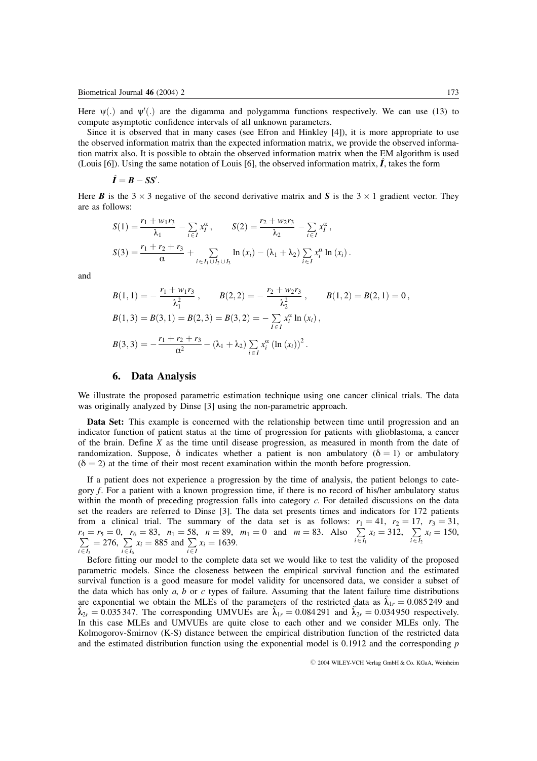Here  $\psi(.)$  and  $\psi'(.)$  are the digamma and polygamma functions respectively. We can use (13) to compute asymptotic confidence intervals of all unknown parameters.

Since it is observed that in many cases (see Efron and Hinkley [4]), it is more appropriate to use the observed information matrix than the expected information matrix, we provide the observed information matrix also. It is possible to obtain the observed information matrix when the EM algorithm is used (Louis [6]). Using the same notation of Louis [6], the observed information matrix,  $\hat{I}$ , takes the form

$$
\hat{\bm{I}} = \bm{B} - \bm{S}\bm{S}'.
$$

Here **B** is the  $3 \times 3$  negative of the second derivative matrix and **S** is the  $3 \times 1$  gradient vector. They are as follows:

$$
S(1) = \frac{r_1 + w_1 r_3}{\lambda_1} - \sum_{i \in I} x_i^{\alpha}, \qquad S(2) = \frac{r_2 + w_2 r_3}{\lambda_2} - \sum_{i \in I} x_i^{\alpha},
$$
  

$$
S(3) = \frac{r_1 + r_2 + r_3}{\alpha} + \sum_{i \in I_1 \cup I_2 \cup I_3} \ln(x_i) - (\lambda_1 + \lambda_2) \sum_{i \in I} x_i^{\alpha} \ln(x_i).
$$

and

$$
B(1, 1) = -\frac{r_1 + w_1 r_3}{\lambda_1^2}, \qquad B(2, 2) = -\frac{r_2 + w_2 r_3}{\lambda_2^2}, \qquad B(1, 2) = B(2, 1) = 0,
$$
  
\n
$$
B(1, 3) = B(3, 1) = B(2, 3) = B(3, 2) = -\sum_{I \in I} x_i^{\alpha} \ln(x_i),
$$
  
\n
$$
B(3, 3) = -\frac{r_1 + r_2 + r_3}{\alpha^2} - (\lambda_1 + \lambda_2) \sum_{i \in I} x_i^{\alpha} (\ln(x_i))^2.
$$

### 6. Data Analysis

We illustrate the proposed parametric estimation technique using one cancer clinical trials. The data was originally analyzed by Dinse [3] using the non-parametric approach.

Data Set: This example is concerned with the relationship between time until progression and an indicator function of patient status at the time of progression for patients with glioblastoma, a cancer of the brain. Define  $X$  as the time until disease progression, as measured in month from the date of randomization. Suppose,  $\delta$  indicates whether a patient is non ambulatory ( $\delta = 1$ ) or ambulatory  $(\delta = 2)$  at the time of their most recent examination within the month before progression.

If a patient does not experience a progression by the time of analysis, the patient belongs to category f. For a patient with a known progression time, if there is no record of his/her ambulatory status within the month of preceding progression falls into category  $c$ . For detailed discussions on the data set the readers are referred to Dinse [3]. The data set presents times and indicators for 172 patients from a clinical trial. The summary of the data set is as follows:  $r_1 = 41$ ,  $r_2 = 17$ ,  $r_3 = 31$ ,  $r_4 = r_5 = 0$ ,  $r_6 = 83$ ,  $n_1 = 58$ ,  $n = 89$ ,  $m_1 = 0$  and  $m = 83$ . Also  $\sum_{i \in I_1} x_i = 312$ ,  $\sum_{i \in I_2} x_i = 150$ ,  $\sum_{i \in I$  $i \in I_3$  $= 276, \sum$  $\sum_{i \in I_6} x_i = 885$  and  $\sum_{i \in I} x_i = 1639$ .

Before fitting our model to the complete data set we would like to test the validity of the proposed parametric models. Since the closeness between the empirical survival function and the estimated survival function is a good measure for model validity for uncensored data, we consider a subset of the data which has only  $a$ ,  $b$  or  $c$  types of failure. Assuming that the latent failure time distributions are exponential we obtain the MLEs of the parameters of the restricted data as  $\hat{\lambda}_{1r} = 0.085249$  and  $\hat{\lambda}_{2r} = 0.035347$ . The corresponding UMVUEs are  $\hat{\lambda}_{1r} = 0.084291$  and  $\hat{\lambda}_{2r} = 0.034950$  respectively. In this case MLEs and UMVUEs are quite close to each other and we consider MLEs only. The Kolmogorov-Smirnov (K-S) distance between the empirical distribution function of the restricted data and the estimated distribution function using the exponential model is 0.1912 and the corresponding p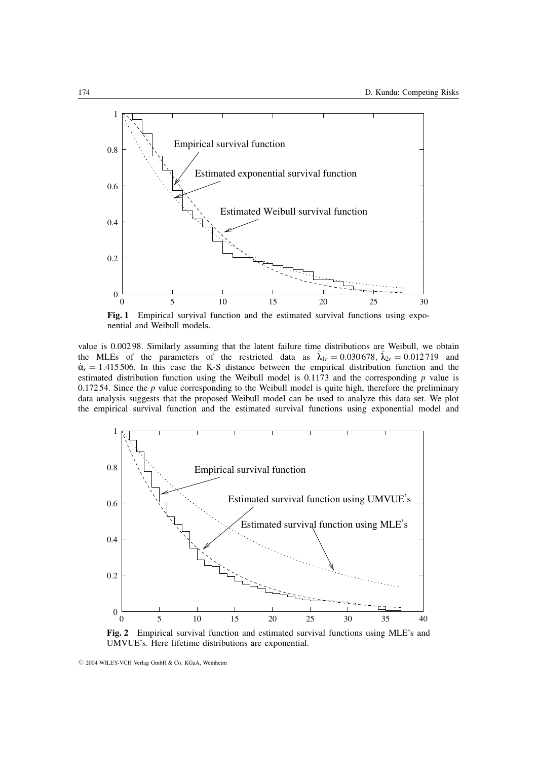

Fig. 1 Empirical survival function and the estimated survival functions using exponential and Weibull models.

value is 0.002 98. Similarly assuming that the latent failure time distributions are Weibull, we obtain the MLEs of the parameters of the restricted data as  $\lambda_{1r} = 0.030678$ ;  $\lambda_{2r} = 0.012719$  and  $\hat{\alpha}_r = 1.415 506$ . In this case the K-S distance between the empirical distribution function and the estimated distribution function using the Weibull model is 0.1173 and the corresponding  $p$  value is 0.17254. Since the  $p$  value corresponding to the Weibull model is quite high, therefore the preliminary data analysis suggests that the proposed Weibull model can be used to analyze this data set. We plot the empirical survival function and the estimated survival functions using exponential model and



UMVUE's. Here lifetime distributions are exponential.

 $©$  2004 WILEY-VCH Verlag GmbH & Co. KGaA, Weinheim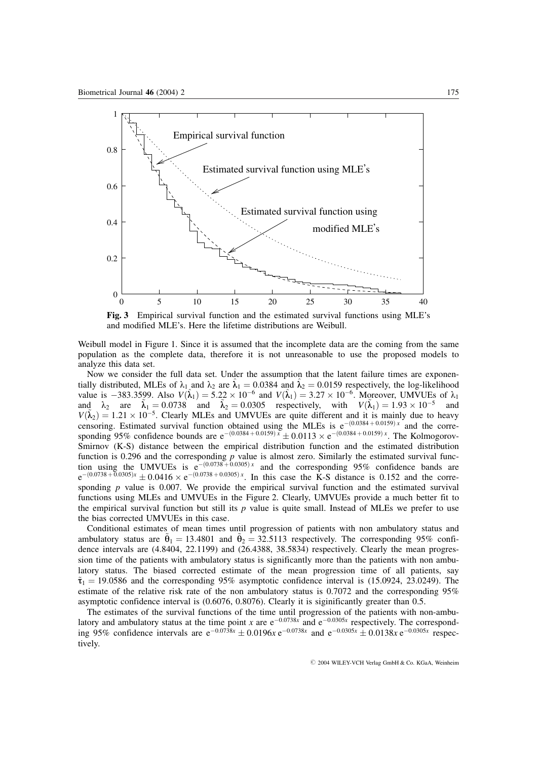

Fig. 3 Empirical survival function and the estimated survival functions using MLE's and modified MLE's. Here the lifetime distributions are Weibull.

Weibull model in Figure 1. Since it is assumed that the incomplete data are the coming from the same population as the complete data, therefore it is not unreasonable to use the proposed models to analyze this data set.

Now we consider the full data set. Under the assumption that the latent failure times are exponentially distributed, MLEs of  $\lambda_1$  and  $\lambda_2$  are  $\lambda_1 = 0.0384$  and  $\lambda_2 = 0.0159$  respectively, the log-likelihood value is -383.3599. Also  $V(\hat{\lambda}_1) = 5.22 \times 10^{-6}$  and  $V(\hat{\lambda}_1) = 3.27 \times 10^{-6}$ . Moreover, UMVUEs of  $\lambda_1$ and  $\lambda_2$  are  $\tilde{\lambda}_1 = 0.0738$  and  $\tilde{\lambda}_2 = 0.0305$  respectively, with  $V(\tilde{\lambda}_1) = 1.93 \times 10^{-5}$  and  $V(\tilde{\lambda}_2) = 1.21 \times 10^{-5}$ . Clearly MLEs and UMVUEs are quite different and it is mainly due to heavy censoring. Estimated survival function obtained using the MLEs is  $e^{-(0.0384 + 0.0159)x}$  and the corresponding 95% confidence bounds are  $e^{-(0.0384 + 0.0159)x} \pm 0.0113 \times e^{-(0.0384 + 0.0159)x}$ . The Kolmogorov-Smirnov (K-S) distance between the empirical distribution function and the estimated distribution function is 0.296 and the corresponding  $p$  value is almost zero. Similarly the estimated survival function using the UMVUEs is  $e^{-(0.0738 + 0.0305)x}$  and the corresponding 95% confidence bands are  $e^{-(0.0738 + \bar{0.0305})x} \pm 0.0416 \times e^{-(0.0738 + 0.0305)x}$ . In this case the K-S distance is 0.152 and the corresponding  $p$  value is 0.007. We provide the empirical survival function and the estimated survival functions using MLEs and UMVUEs in the Figure 2. Clearly, UMVUEs provide a much better fit to the empirical survival function but still its  $p$  value is quite small. Instead of MLEs we prefer to use the bias corrected UMVUEs in this case.

Conditional estimates of mean times until progression of patients with non ambulatory status and ambulatory status are  $\dot{\theta}_1 = 13.4801$  and  $\dot{\theta}_2 = 32.5113$  respectively. The corresponding 95% confidence intervals are (4.8404, 22.1199) and (26.4388, 38.5834) respectively. Clearly the mean progression time of the patients with ambulatory status is significantly more than the patients with non ambulatory status. The biased corrected estimate of the mean progression time of all patients, say  $\tilde{\tau}_1 = 19.0586$  and the corresponding 95% asymptotic confidence interval is (15.0924, 23.0249). The estimate of the relative risk rate of the non ambulatory status is 0.7072 and the corresponding 95% asymptotic confidence interval is (0.6076, 0.8076). Clearly it is siginificantly greater than 0.5.

The estimates of the survival functions of the time until progression of the patients with non-ambulatory and ambulatory status at the time point x are  $e^{-0.0738x}$  and  $e^{-0.0305x}$  respectively. The corresponding 95% confidence intervals are  $e^{-0.0738x} \pm 0.0196x e^{-0.0738x}$  and  $e^{-0.0305x} \pm 0.0138x e^{-0.0305x}$  respectively.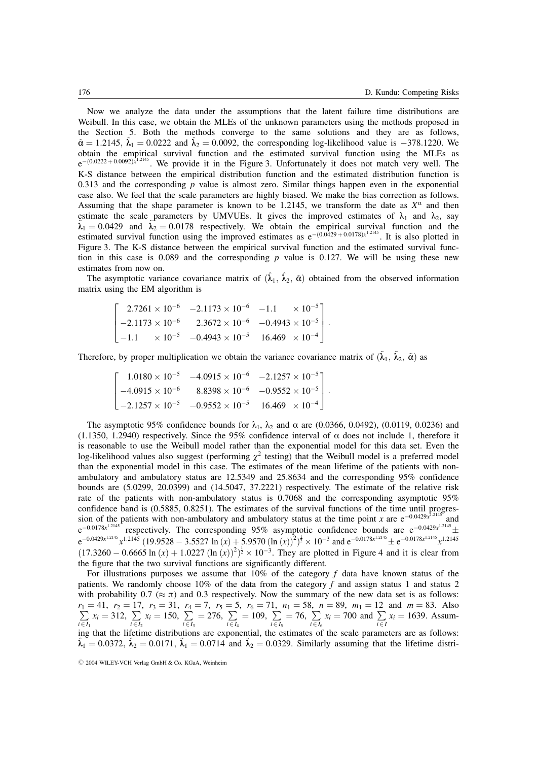Now we analyze the data under the assumptions that the latent failure time distributions are Weibull. In this case, we obtain the MLEs of the unknown parameters using the methods proposed in the Section 5. Both the methods converge to the same solutions and they are as follows,  $\hat{\alpha} = 1.2145$ ,  $\hat{\lambda}_1 = 0.0222$  and  $\hat{\lambda}_2 = 0.0092$ , the corresponding log-likelihood value is -378.1220. We obtain the empirical survival function and the estimated survival function using the MLEs as  $e^{-(0.0222 + 0.0092)\hat{x}^{1.2145}}$ . We provide it in the Figure 3. Unfortunately it does not match very well. The K-S distance between the empirical distribution function and the estimated distribution function is 0.313 and the corresponding  $p$  value is almost zero. Similar things happen even in the exponential case also. We feel that the scale parameters are highly biased. We make the bias correction as follows. Assuming that the shape parameter is known to be 1.2145, we transform the date as  $X^{\alpha}$  and then estimate the scale parameters by UMVUEs. It gives the improved estimates of  $\lambda_1$  and  $\lambda_2$ , say estimate the scale parameters by UMVUEs. It gives the improved estimates of  $\lambda_1$  and  $\lambda_2$ , say  $\tilde{\lambda}_1 = 0.0429$  and  $\tilde{\lambda}_2 = 0.0178$  respectively. We obtain the empirical survival function and the estimated survival function using the improved estimates as  $e^{-(0.0429 + 0.0178)x^{1.2145}}$ . It is also plotted in Figure 3. The K-S distance between the empirical survival function and the estimated survival function in this case is 0.089 and the corresponding  $p$  value is 0.127. We will be using these new estimates from now on.

The asymptotic variance covariance matrix of  $(\hat{\lambda}_1, \hat{\lambda}_2, \hat{\alpha})$  obtained from the observed information matrix using the EM algorithm is

$$
\begin{bmatrix} 2.7261 \times 10^{-6} & -2.1173 \times 10^{-6} & -1.1 & \times 10^{-5} \\ -2.1173 \times 10^{-6} & 2.3672 \times 10^{-6} & -0.4943 \times 10^{-5} \\ -1.1 & \times 10^{-5} & -0.4943 \times 10^{-5} & 16.469 \times 10^{-4} \end{bmatrix}.
$$

Therefore, by proper multiplication we obtain the variance covariance matrix of  $(\tilde{\lambda}_1, \tilde{\lambda}_2, \tilde{\alpha})$  as

$$
\begin{bmatrix} 1.0180 \times 10^{-5} & -4.0915 \times 10^{-6} & -2.1257 \times 10^{-5} \\ -4.0915 \times 10^{-6} & 8.8398 \times 10^{-6} & -0.9552 \times 10^{-5} \\ -2.1257 \times 10^{-5} & -0.9552 \times 10^{-5} & 16.469 \times 10^{-4} \end{bmatrix}.
$$

The asymptotic 95% confidence bounds for  $\lambda_1$ ,  $\lambda_2$  and  $\alpha$  are (0.0366, 0.0492), (0.0119, 0.0236) and (1.1350, 1.2940) respectively. Since the 95% confidence interval of  $\alpha$  does not include 1, therefore it is reasonable to use the Weibull model rather than the exponential model for this data set. Even the log-likelihood values also suggest (performing  $\chi^2$  testing) that the Weibull model is a preferred model than the exponential model in this case. The estimates of the mean lifetime of the patients with nonambulatory and ambulatory status are 12.5349 and 25.8634 and the corresponding 95% confidence bounds are (5.0299, 20.0399) and (14.5047, 37.2221) respectively. The estimate of the relative risk rate of the patients with non-ambulatory status is 0.7068 and the corresponding asymptotic 95% confidence band is (0.5885, 0.8251). The estimates of the survival functions of the time until progression of the patients with non-ambulatory and ambulatory status at the time point x are  $e^{-0.0429x^{1.2145}}$  and  $e^{-0.0178x^{1.2145}}$  respectively. The corresponding 95% asymptotic confidence bounds are  $e^{-0.0429x^{1.2145}}$   $\pm$  $e^{-0.0429x^{1.2145}}x^{1.2145}$  (19.9528 – 3.5527 ln  $(x) + 5.9570$   $(\ln(x))^2$ )<sup> $\frac{1}{2} \times 10^{-3}$  and  $e^{-0.0178x^{1.2145}}$   $\pm e^{-0.0178x^{1.2145}}x^{1.2145}$ </sup>  $(17.3260 - 0.6665 \ln(x) + 1.0227 (\ln(x))^2)^{\frac{1}{2}} \times 10^{-3}$ . They are plotted in Figure 4 and it is clear from the figure that the two survival functions are significantly different.

For illustrations purposes we assume that  $10\%$  of the category f data have known status of the patients. We randomly choose 10% of the data from the category  $f$  and assign status 1 and status 2 with probability 0.7 ( $\approx \pi$ ) and 0.3 respectively. Now the summary of the new data set is as follows:  $r_1 = 41, r_2 = 17, r_3 = 31, r_4 = 7, r_5 = 5, r_6 = 71, n_1 = 58, n = 89, m_1 = 12 \text{ and } m = 83.$  Also<br>  $\sum x_i = 312, \sum x_i = 150, \sum x_i = 276, \sum x_i = 100, \sum x_i = 700, \text{and } \sum x_i = 1630$ . Assum  $\sum_{i \in I_1} x_i = 312, \sum_{i \in I_2} x_i = 150, \sum_{i \in I_3} x_i$  $= 276, \sum$  $i \in I_4$  $\binom{6}{109}$ ,  $\sum$  $i \in I_5$  $= 76, \sum$  $\sum_{i \in I_6} x_i = 700$  and  $\sum_{i \in I} x_i = 1639$ . Assuming that the lifetime distributions are exponential, the estimates of the scale parameters are as follows:  $\hat{\lambda}_1 = 0.0372, \hat{\lambda}_2 = 0.0171, \hat{\lambda}_1 = 0.0714$  and  $\hat{\lambda}_2 = 0.0329$ . Similarly assuming that the lifetime distri-

 $O$  2004 WILEY-VCH Verlag GmbH & Co. KGaA, Weinheim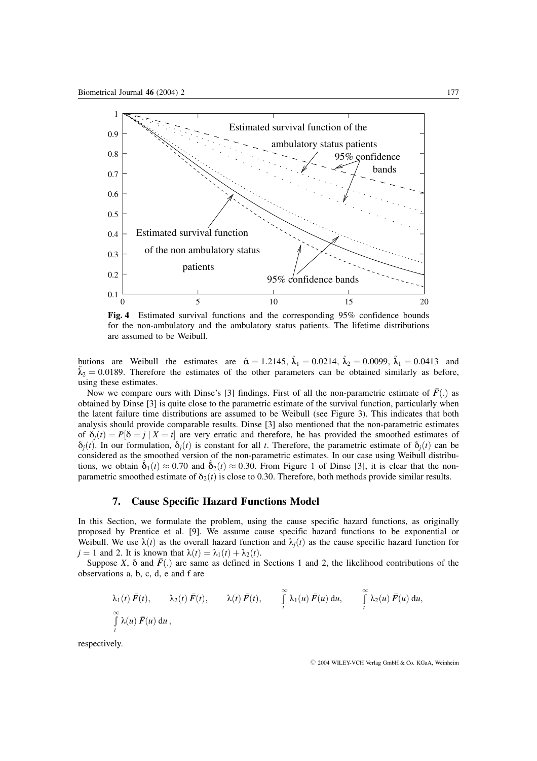

Fig. 4 Estimated survival functions and the corresponding 95% confidence bounds for the non-ambulatory and the ambulatory status patients. The lifetime distributions are assumed to be Weibull.

butions are Weibull the estimates are  $\hat{\alpha} = 1.2145$ ,  $\hat{\lambda}_1 = 0.0214$ ,  $\hat{\lambda}_2 = 0.0099$ ,  $\tilde{\lambda}_1 = 0.0413$  and  $\tilde{\lambda}_2 = 0.0189$ . Therefore the estimates of the other parameters can be obtained similarly as before, using these estimates.

Now we compare ours with Dinse's [3] findings. First of all the non-parametric estimate of  $\bar{F}$ (.) as obtained by Dinse [3] is quite close to the parametric estimate of the survival function, particularly when the latent failure time distributions are assumed to be Weibull (see Figure 3). This indicates that both analysis should provide comparable results. Dinse [3] also mentioned that the non-parametric estimates of  $\delta_i(t) = P[\delta = j | X = t]$  are very erratic and therefore, he has provided the smoothed estimates of  $\delta_i(t)$ . In our formulation,  $\delta_i(t)$  is constant for all t. Therefore, the parametric estimate of  $\delta_i(t)$  can be considered as the smoothed version of the non-parametric estimates. In our case using Weibull distributions, we obtain  $\hat{\delta}_1(t) \approx 0.70$  and  $\hat{\delta}_2(t) \approx 0.30$ . From Figure 1 of Dinse [3], it is clear that the nonparametric smoothed estimate of  $\delta_2(t)$  is close to 0.30. Therefore, both methods provide similar results.

# 7. Cause Specific Hazard Functions Model

In this Section, we formulate the problem, using the cause specific hazard functions, as originally proposed by Prentice et al. [9]. We assume cause specific hazard functions to be exponential or Weibull. We use  $\lambda(t)$  as the overall hazard function and  $\lambda_i(t)$  as the cause specific hazard function for  $j = 1$  and 2. It is known that  $\lambda(t) = \lambda_1(t) + \lambda_2(t)$ .

Suppose X,  $\delta$  and  $\bar{F}$ . are same as defined in Sections 1 and 2, the likelihood contributions of the observations a, b, c, d, e and f are

$$
\lambda_1(t) \overline{F}(t), \qquad \lambda_2(t) \overline{F}(t), \qquad \lambda(t) \overline{F}(t), \qquad \int\limits_t^\infty \lambda_1(u) \overline{F}(u) \, \mathrm{d}u, \qquad \int\limits_t^\infty \lambda_2(u) \overline{F}(u) \, \mathrm{d}u,
$$
\n
$$
\int\limits_t^\infty \lambda(u) \overline{F}(u) \, \mathrm{d}u,
$$

respectively.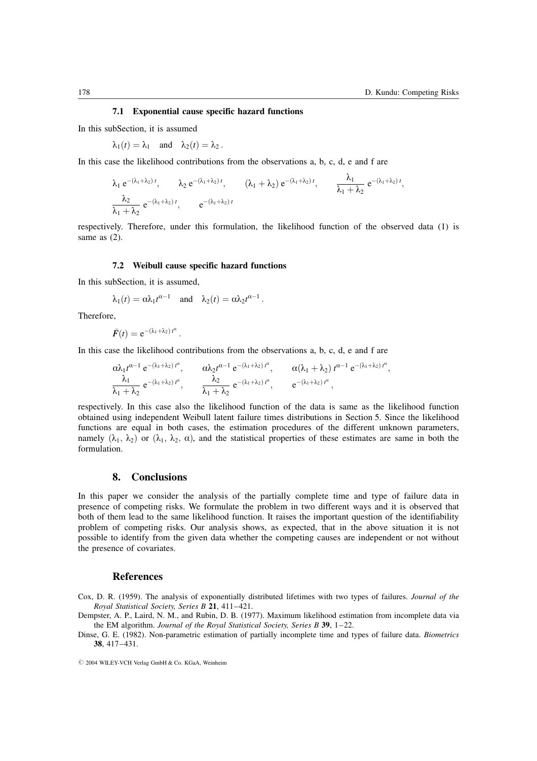#### 7.1 Exponential cause specific hazard functions

In this subSection, it is assumed

 $\lambda_1(t) = \lambda_1$  and  $\lambda_2(t) = \lambda_2$ .

In this case the likelihood contributions from the observations a, b, c, d, e and f are

$$
\lambda_1 e^{-(\lambda_1+\lambda_2)t}, \qquad \lambda_2 e^{-(\lambda_1+\lambda_2)t}, \qquad (\lambda_1+\lambda_2) e^{-(\lambda_1+\lambda_2)t}, \qquad \frac{\lambda_1}{\lambda_1+\lambda_2} e^{-(\lambda_1+\lambda_2)t},
$$
  

$$
\frac{\lambda_2}{\lambda_1+\lambda_2} e^{-(\lambda_1+\lambda_2)t}, \qquad e^{-(\lambda_1+\lambda_2)t}
$$

respectively. Therefore, under this formulation, the likelihood function of the observed data (1) is same as  $(2)$ .

## 7.2 Weibull cause specific hazard functions

In this subSection, it is assumed,

$$
\lambda_1(t) = \alpha \lambda_1 t^{\alpha - 1} \quad \text{and} \quad \lambda_2(t) = \alpha \lambda_2 t^{\alpha - 1}.
$$

Therefore,

$$
\bar{F}(t) = e^{-(\lambda_1+\lambda_2) t^{\alpha}}.
$$

In this case the likelihood contributions from the observations a, b, c, d, e and f are

$$
\frac{\alpha\lambda_1t^{\alpha-1}e^{-(\lambda_1+\lambda_2)t^{\alpha}}}{\lambda_1+\lambda_2}e^{-(\lambda_1+\lambda_2)t^{\alpha}}, \qquad \frac{\alpha\lambda_2t^{\alpha-1}e^{-(\lambda_1+\lambda_2)t^{\alpha}}}{\lambda_1+\lambda_2}e^{-(\lambda_1+\lambda_2)t^{\alpha}}, \qquad \frac{\alpha(\lambda_1+\lambda_2)t^{\alpha-1}e^{-(\lambda_1+\lambda_2)t^{\alpha}}}{e^{-(\lambda_1+\lambda_2)t^{\alpha}}},
$$

respectively. In this case also the likelihood function of the data is same as the likelihood function obtained using independent Weibull latent failure times distributions in Section 5. Since the likelihood functions are equal in both cases, the estimation procedures of the different unknown parameters, namely  $(\lambda_1, \lambda_2)$  or  $(\lambda_1, \lambda_2, \alpha)$ , and the statistical properties of these estimates are same in both the formulation.

# 8. Conclusions

In this paper we consider the analysis of the partially complete time and type of failure data in presence of competing risks. We formulate the problem in two different ways and it is observed that both of them lead to the same likelihood function. It raises the important question of the identifiability problem of competing risks. Our analysis shows, as expected, that in the above situation it is not possible to identify from the given data whether the competing causes are independent or not without the presence of covariates.

#### **References**

- Cox, D. R. (1959). The analysis of exponentially distributed lifetimes with two types of failures. Journal of the Royal Statistical Society, Series B 21, 411–421.
- Dempster, A. P., Laird, N. M., and Rubin, D. B. (1977). Maximum likelihood estimation from incomplete data via the EM algorithm. Journal of the Royal Statistical Society, Series B 39, 1-22.
- Dinse, G. E. (1982). Non-parametric estimation of partially incomplete time and types of failure data. Biometrics 38, 417–431.

 $O$  2004 WILEY-VCH Verlag GmbH & Co. KGaA, Weinheim